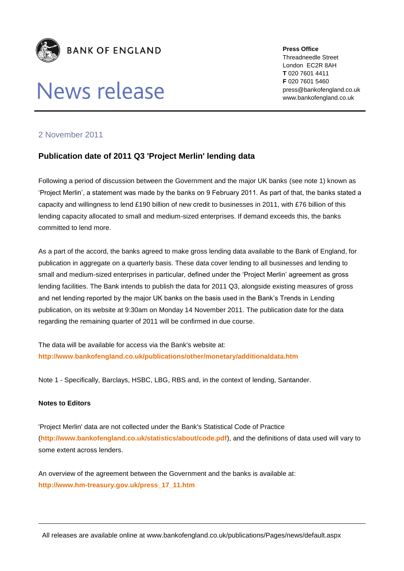

## News release

**Press Office** Threadneedle Street London EC2R 8AH **T** 020 7601 4411 **F** 020 7601 5460 press@bankofengland.co.uk www.bankofengland.co.uk

## 2 November 2011

## **Publication date of 2011 Q3 'Project Merlin' lending data**

Following a period of discussion between the Government and the major UK banks (see note 1) known as 'Project Merlin', a statement was made by the banks on 9 February 2011. As part of that, the banks stated a capacity and willingness to lend £190 billion of new credit to businesses in 2011, with £76 billion of this lending capacity allocated to small and medium-sized enterprises. If demand exceeds this, the banks committed to lend more.

As a part of the accord, the banks agreed to make gross lending data available to the Bank of England, for publication in aggregate on a quarterly basis. These data cover lending to all businesses and lending to small and medium-sized enterprises in particular, defined under the 'Project Merlin' agreement as gross lending facilities. The Bank intends to publish the data for 2011 Q3, alongside existing measures of gross and net lending reported by the major UK banks on the basis used in the Bank's Trends in Lending publication, on its website at 9:30am on Monday 14 November 2011. The publication date for the data regarding the remaining quarter of 2011 will be confirmed in due course.

The data will be available for access via the Bank's website at: **<http://www.bankofengland.co.uk/publications/other/monetary/additionaldata.htm>**

Note 1 - Specifically, Barclays, HSBC, LBG, RBS and, in the context of lending, Santander.

## **Notes to Editors**

'Project Merlin' data are not collected under the Bank's Statistical Code of Practice (**<http://www.bankofengland.co.uk/statistics/about/code.pdf>**), and the definitions of data used will vary to some extent across lenders.

An overview of the agreement between the Government and the banks is available at: **[http://www.hm-treasury.gov.uk/press\\_17\\_11.htm](http://www.hm-treasury.gov.uk/press_17_11.htm)**